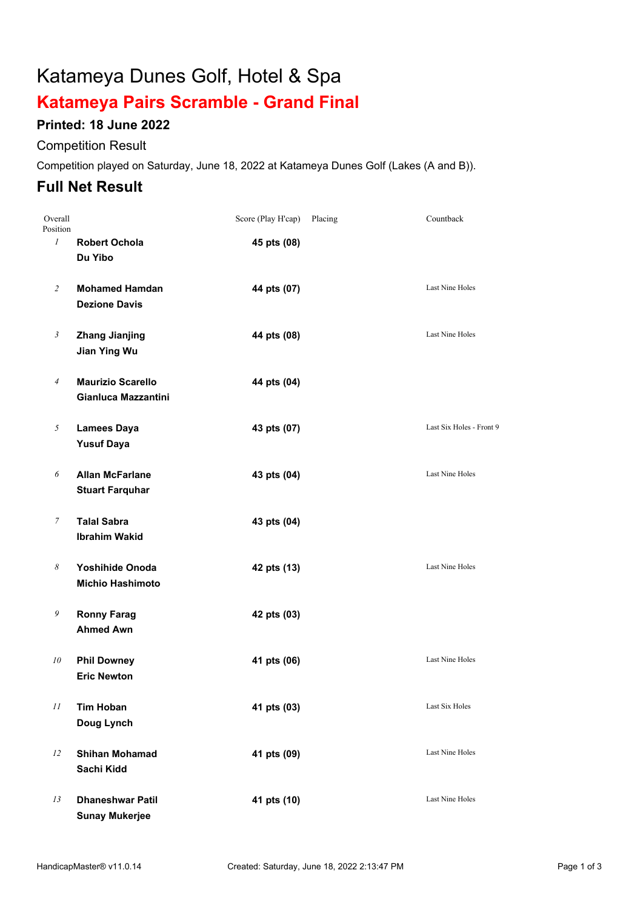# Katameya Dunes Golf, Hotel & Spa

## **Katameya Pairs Scramble - Grand Final**

### **Printed: 18 June 2022**

#### Competition Result

Competition played on Saturday, June 18, 2022 at Katameya Dunes Golf (Lakes (A and B)).

## **Full Net Result**

| Overall<br>Position |                                                   | Score (Play H'cap) | Placing | Countback                |
|---------------------|---------------------------------------------------|--------------------|---------|--------------------------|
| $\mathcal{I}$       | <b>Robert Ochola</b><br>Du Yibo                   | 45 pts (08)        |         |                          |
| $\overline{2}$      | <b>Mohamed Hamdan</b><br><b>Dezione Davis</b>     | 44 pts (07)        |         | <b>Last Nine Holes</b>   |
| $\mathfrak{Z}$      | <b>Zhang Jianjing</b><br><b>Jian Ying Wu</b>      | 44 pts (08)        |         | Last Nine Holes          |
| $\overline{A}$      | <b>Maurizio Scarello</b><br>Gianluca Mazzantini   | 44 pts (04)        |         |                          |
| 5                   | <b>Lamees Daya</b><br><b>Yusuf Daya</b>           | 43 pts (07)        |         | Last Six Holes - Front 9 |
| 6                   | <b>Allan McFarlane</b><br><b>Stuart Farquhar</b>  | 43 pts (04)        |         | <b>Last Nine Holes</b>   |
| $\boldsymbol{7}$    | <b>Talal Sabra</b><br><b>Ibrahim Wakid</b>        | 43 pts (04)        |         |                          |
| 8                   | <b>Yoshihide Onoda</b><br><b>Michio Hashimoto</b> | 42 pts (13)        |         | Last Nine Holes          |
| 9                   | <b>Ronny Farag</b><br><b>Ahmed Awn</b>            | 42 pts (03)        |         |                          |
| 10                  | <b>Phil Downey</b><br><b>Eric Newton</b>          | 41 pts (06)        |         | <b>Last Nine Holes</b>   |
| 11                  | <b>Tim Hoban</b><br>Doug Lynch                    | 41 pts (03)        |         | Last Six Holes           |
| 12                  | <b>Shihan Mohamad</b><br>Sachi Kidd               | 41 pts (09)        |         | Last Nine Holes          |
| 13                  | <b>Dhaneshwar Patil</b><br><b>Sunay Mukerjee</b>  | 41 pts (10)        |         | Last Nine Holes          |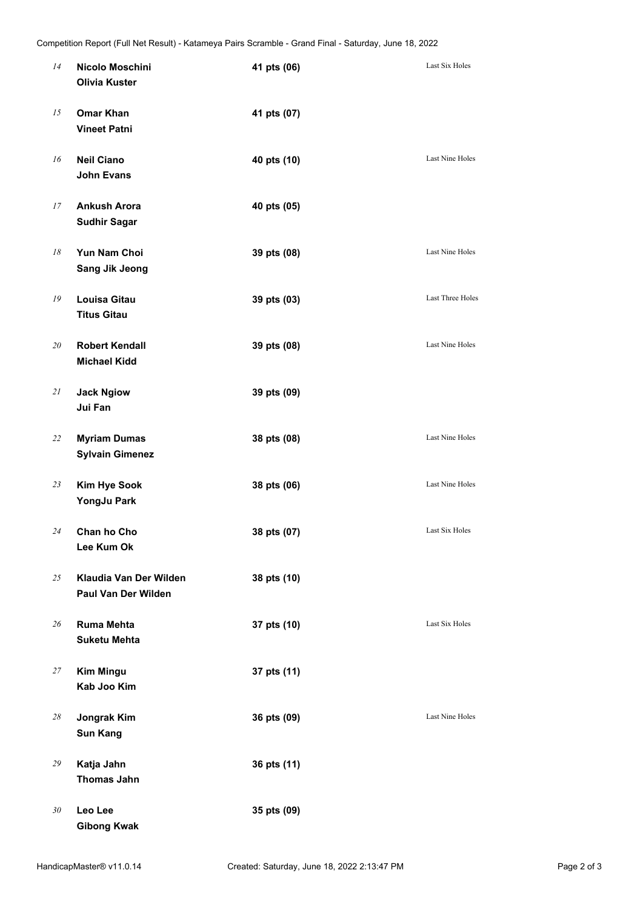| 14 | Nicolo Moschini<br><b>Olivia Kuster</b>              | 41 pts (06) | Last Six Holes   |
|----|------------------------------------------------------|-------------|------------------|
| 15 | <b>Omar Khan</b><br><b>Vineet Patni</b>              | 41 pts (07) |                  |
| 16 | <b>Neil Ciano</b><br><b>John Evans</b>               | 40 pts (10) | Last Nine Holes  |
| 17 | <b>Ankush Arora</b><br><b>Sudhir Sagar</b>           | 40 pts (05) |                  |
| 18 | Yun Nam Choi<br><b>Sang Jik Jeong</b>                | 39 pts (08) | Last Nine Holes  |
| 19 | <b>Louisa Gitau</b><br><b>Titus Gitau</b>            | 39 pts (03) | Last Three Holes |
| 20 | <b>Robert Kendall</b><br><b>Michael Kidd</b>         | 39 pts (08) | Last Nine Holes  |
| 21 | <b>Jack Ngiow</b><br>Jui Fan                         | 39 pts (09) |                  |
| 22 | <b>Myriam Dumas</b><br><b>Sylvain Gimenez</b>        | 38 pts (08) | Last Nine Holes  |
| 23 | <b>Kim Hye Sook</b><br>YongJu Park                   | 38 pts (06) | Last Nine Holes  |
| 24 | Chan ho Cho<br>Lee Kum Ok                            | 38 pts (07) | Last Six Holes   |
| 25 | Klaudia Van Der Wilden<br><b>Paul Van Der Wilden</b> | 38 pts (10) |                  |
| 26 | <b>Ruma Mehta</b><br><b>Suketu Mehta</b>             | 37 pts (10) | Last Six Holes   |
| 27 | <b>Kim Mingu</b><br>Kab Joo Kim                      | 37 pts (11) |                  |
| 28 | Jongrak Kim<br><b>Sun Kang</b>                       | 36 pts (09) | Last Nine Holes  |
| 29 | Katja Jahn<br><b>Thomas Jahn</b>                     | 36 pts (11) |                  |
| 30 | Leo Lee<br><b>Gibong Kwak</b>                        | 35 pts (09) |                  |